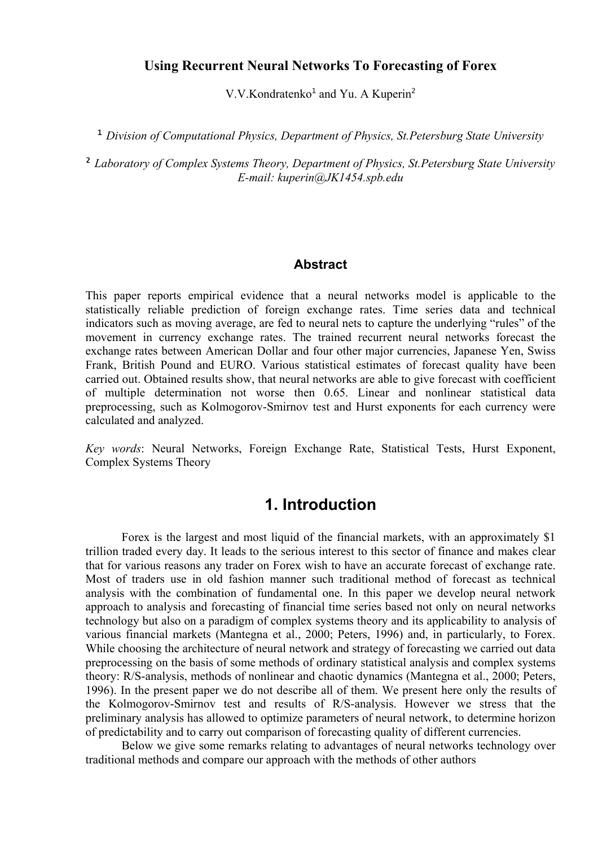#### **Using Recurrent Neural Networks To Forecasting of Forex**

V.V.Kondratenko<sup>1</sup> and Yu. A Kuperin<sup>2</sup>

<sup>1</sup>*Division of Computational Physics, Department of Physics, St.Petersburg State University* 

<sup>2</sup>*Laboratory of Complex Systems Theory, Department of Physics, St.Petersburg State University E-mail: kuperin@JK1454.spb.edu* 

#### **Abstract**

This paper reports empirical evidence that a neural networks model is applicable to the statistically reliable prediction of foreign exchange rates. Time series data and technical indicators such as moving average, are fed to neural nets to capture the underlying "rules" of the movement in currency exchange rates. The trained recurrent neural networks forecast the exchange rates between American Dollar and four other major currencies, Japanese Yen, Swiss Frank, British Pound and EURO. Various statistical estimates of forecast quality have been carried out. Obtained results show, that neural networks are able to give forecast with coefficient of multiple determination not worse then 0.65. Linear and nonlinear statistical data preprocessing, such as Kolmogorov-Smirnov test and Hurst exponents for each currency were calculated and analyzed.

*Key words*: Neural Networks, Foreign Exchange Rate, Statistical Tests, Hurst Exponent, Complex Systems Theory

# **1. Introduction**

Forex is the largest and most liquid of the financial markets, with an approximately \$1 trillion traded every day. It leads to the serious interest to this sector of finance and makes clear that for various reasons any trader on Forex wish to have an accurate forecast of exchange rate. Most of traders use in old fashion manner such traditional method of forecast as technical analysis with the combination of fundamental one. In this paper we develop neural network approach to analysis and forecasting of financial time series based not only on neural networks technology but also on a paradigm of complex systems theory and its applicability to analysis of various financial markets (Mantegna et al., 2000; Peters, 1996) and, in particularly, to Forex. While choosing the architecture of neural network and strategy of forecasting we carried out data preprocessing on the basis of some methods of ordinary statistical analysis and complex systems theory: R/S-analysis, methods of nonlinear and chaotic dynamics (Mantegna et al., 2000; Peters, 1996). In the present paper we do not describe all of them. We present here only the results of the Kolmogorov-Smirnov test and results of R/S-analysis. However we stress that the preliminary analysis has allowed to optimize parameters of neural network, to determine horizon of predictability and to carry out comparison of forecasting quality of different currencies.

Below we give some remarks relating to advantages of neural networks technology over traditional methods and compare our approach with the methods of other authors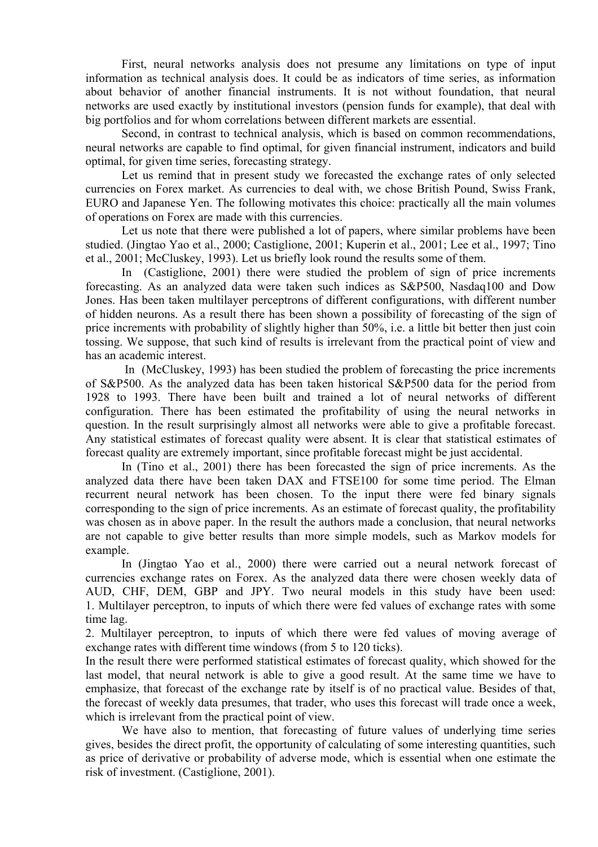First, neural networks analysis does not presume any limitations on type of input information as technical analysis does. It could be as indicators of time series, as information about behavior of another financial instruments. It is not without foundation, that neural networks are used exactly by institutional investors (pension funds for example), that deal with big portfolios and for whom correlations between different markets are essential.

Second, in contrast to technical analysis, which is based on common recommendations, neural networks are capable to find optimal, for given financial instrument, indicators and build optimal, for given time series, forecasting strategy.

Let us remind that in present study we forecasted the exchange rates of only selected currencies on Forex market. As currencies to deal with, we chose British Pound, Swiss Frank, EURO and Japanese Yen. The following motivates this choice: practically all the main volumes of operations on Forex are made with this currencies.

Let us note that there were published a lot of papers, where similar problems have been studied. (Jingtao Yao et al., 2000; Castiglione, 2001; Kuperin et al., 2001; Lee et al., 1997; Tino et al., 2001; McCluskey, 1993). Let us briefly look round the results some of them.

In (Castiglione, 2001) there were studied the problem of sign of price increments forecasting. As an analyzed data were taken such indices as S&P500, Nasdaq100 and Dow Jones. Has been taken multilayer perceptrons of different configurations, with different number of hidden neurons. As a result there has been shown a possibility of forecasting of the sign of price increments with probability of slightly higher than 50%, i.e. a little bit better then just coin tossing. We suppose, that such kind of results is irrelevant from the practical point of view and has an academic interest.

 In (McCluskey, 1993) has been studied the problem of forecasting the price increments of S&P500. As the analyzed data has been taken historical S&P500 data for the period from 1928 to 1993. There have been built and trained a lot of neural networks of different configuration. There has been estimated the profitability of using the neural networks in question. In the result surprisingly almost all networks were able to give a profitable forecast. Any statistical estimates of forecast quality were absent. It is clear that statistical estimates of forecast quality are extremely important, since profitable forecast might be just accidental.

In (Tino et al., 2001) there has been forecasted the sign of price increments. As the analyzed data there have been taken DAX and FTSE100 for some time period. The Elman recurrent neural network has been chosen. To the input there were fed binary signals corresponding to the sign of price increments. As an estimate of forecast quality, the profitability was chosen as in above paper. In the result the authors made a conclusion, that neural networks are not capable to give better results than more simple models, such as Markov models for example.

In (Jingtao Yao et al., 2000) there were carried out a neural network forecast of currencies exchange rates on Forex. As the analyzed data there were chosen weekly data of AUD, CHF, DEM, GBP and JPY. Two neural models in this study have been used: 1. Multilayer perceptron, to inputs of which there were fed values of exchange rates with some time lag.

2. Multilayer perceptron, to inputs of which there were fed values of moving average of exchange rates with different time windows (from 5 to 120 ticks).

In the result there were performed statistical estimates of forecast quality, which showed for the last model, that neural network is able to give a good result. At the same time we have to emphasize, that forecast of the exchange rate by itself is of no practical value. Besides of that, the forecast of weekly data presumes, that trader, who uses this forecast will trade once a week, which is irrelevant from the practical point of view.

We have also to mention, that forecasting of future values of underlying time series gives, besides the direct profit, the opportunity of calculating of some interesting quantities, such as price of derivative or probability of adverse mode, which is essential when one estimate the risk of investment. (Castiglione, 2001).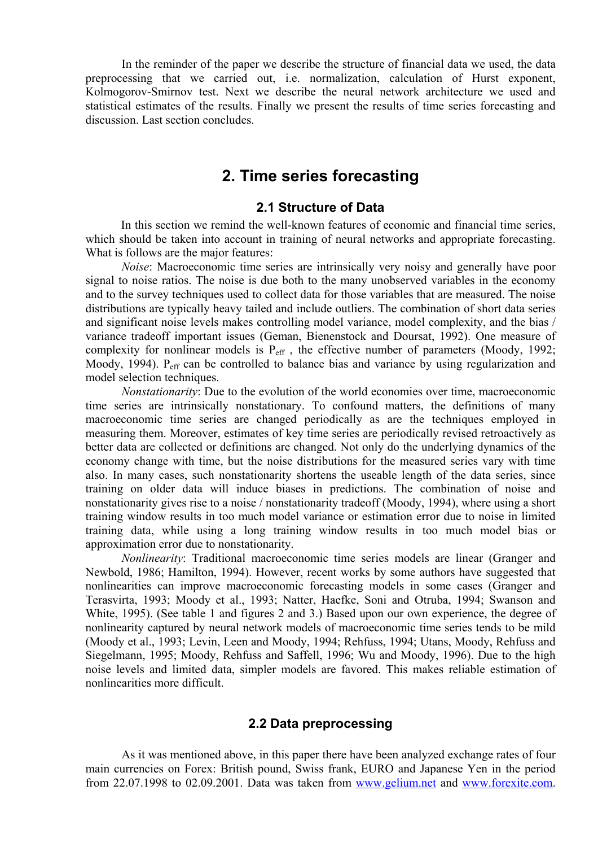In the reminder of the paper we describe the structure of financial data we used, the data preprocessing that we carried out, i.e. normalization, calculation of Hurst exponent, Kolmogorov-Smirnov test. Next we describe the neural network architecture we used and statistical estimates of the results. Finally we present the results of time series forecasting and discussion. Last section concludes.

## **2. Time series forecasting**

#### **2.1 Structure of Data**

In this section we remind the well-known features of economic and financial time series, which should be taken into account in training of neural networks and appropriate forecasting. What is follows are the major features:

*Noise*: Macroeconomic time series are intrinsically very noisy and generally have poor signal to noise ratios. The noise is due both to the many unobserved variables in the economy and to the survey techniques used to collect data for those variables that are measured. The noise distributions are typically heavy tailed and include outliers. The combination of short data series and significant noise levels makes controlling model variance, model complexity, and the bias / variance tradeoff important issues (Geman, Bienenstock and Doursat, 1992). One measure of complexity for nonlinear models is  $P_{\text{eff}}$ , the effective number of parameters (Moody, 1992; Moody, 1994). P<sub>eff</sub> can be controlled to balance bias and variance by using regularization and model selection techniques.

*Nonstationarity*: Due to the evolution of the world economies over time, macroeconomic time series are intrinsically nonstationary. To confound matters, the definitions of many macroeconomic time series are changed periodically as are the techniques employed in measuring them. Moreover, estimates of key time series are periodically revised retroactively as better data are collected or definitions are changed. Not only do the underlying dynamics of the economy change with time, but the noise distributions for the measured series vary with time also. In many cases, such nonstationarity shortens the useable length of the data series, since training on older data will induce biases in predictions. The combination of noise and nonstationarity gives rise to a noise / nonstationarity tradeoff (Moody, 1994), where using a short training window results in too much model variance or estimation error due to noise in limited training data, while using a long training window results in too much model bias or approximation error due to nonstationarity.

*Nonlinearity*: Traditional macroeconomic time series models are linear (Granger and Newbold, 1986; Hamilton, 1994). However, recent works by some authors have suggested that nonlinearities can improve macroeconomic forecasting models in some cases (Granger and Terasvirta, 1993; Moody et al., 1993; Natter, Haefke, Soni and Otruba, 1994; Swanson and White, 1995). (See table 1 and figures 2 and 3.) Based upon our own experience, the degree of nonlinearity captured by neural network models of macroeconomic time series tends to be mild (Moody et al., 1993; Levin, Leen and Moody, 1994; Rehfuss, 1994; Utans, Moody, Rehfuss and Siegelmann, 1995; Moody, Rehfuss and Saffell, 1996; Wu and Moody, 1996). Due to the high noise levels and limited data, simpler models are favored. This makes reliable estimation of nonlinearities more difficult.

## **2.2 Data preprocessing**

As it was mentioned above, in this paper there have been analyzed exchange rates of four main currencies on Forex: British pound, Swiss frank, EURO and Japanese Yen in the period from 22.07.1998 to 02.09.2001. Data was taken from www.gelium.net and www.forexite.com.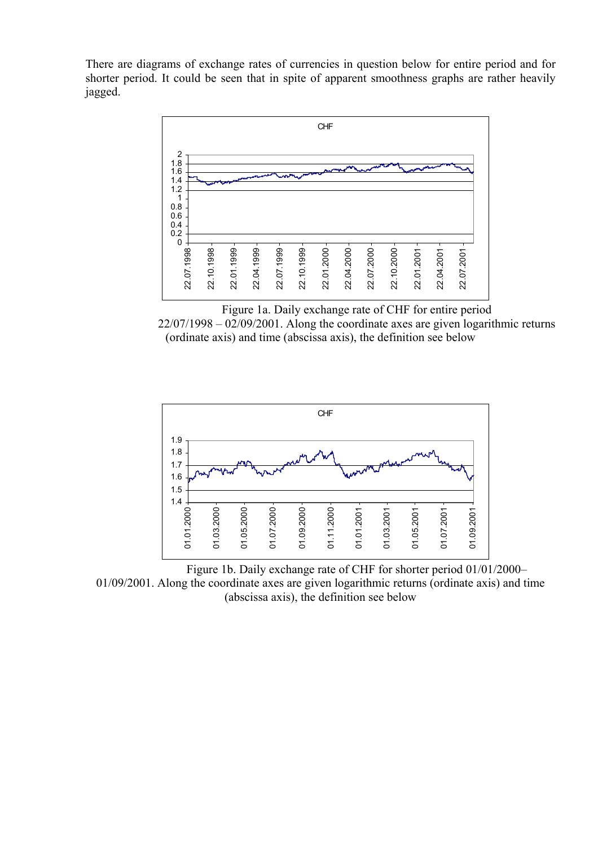There are diagrams of exchange rates of currencies in question below for entire period and for shorter period. It could be seen that in spite of apparent smoothness graphs are rather heavily jagged.



Figure 1a. Daily exchange rate of CHF for entire period  $22/07/1998 - 02/09/2001$ . Along the coordinate axes are given logarithmic returns (ordinate axis) and time (abscissa axis), the definition see below



Figure 1b. Daily exchange rate of CHF for shorter period 01/01/2000– 01/09/2001. Along the coordinate axes are given logarithmic returns (ordinate axis) and time (abscissa axis), the definition see below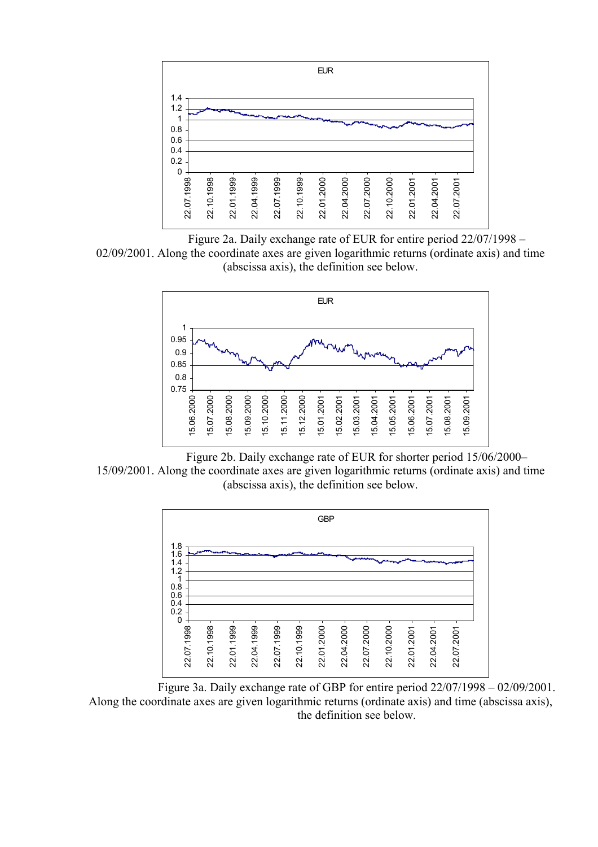

Figure 2a. Daily exchange rate of EUR for entire period 22/07/1998 –

02/09/2001. Along the coordinate axes are given logarithmic returns (ordinate axis) and time (abscissa axis), the definition see below.



Figure 2b. Daily exchange rate of EUR for shorter period 15/06/2000– 15/09/2001. Along the coordinate axes are given logarithmic returns (ordinate axis) and time (abscissa axis), the definition see below.



Figure 3a. Daily exchange rate of GBP for entire period 22/07/1998 – 02/09/2001. Along the coordinate axes are given logarithmic returns (ordinate axis) and time (abscissa axis), the definition see below.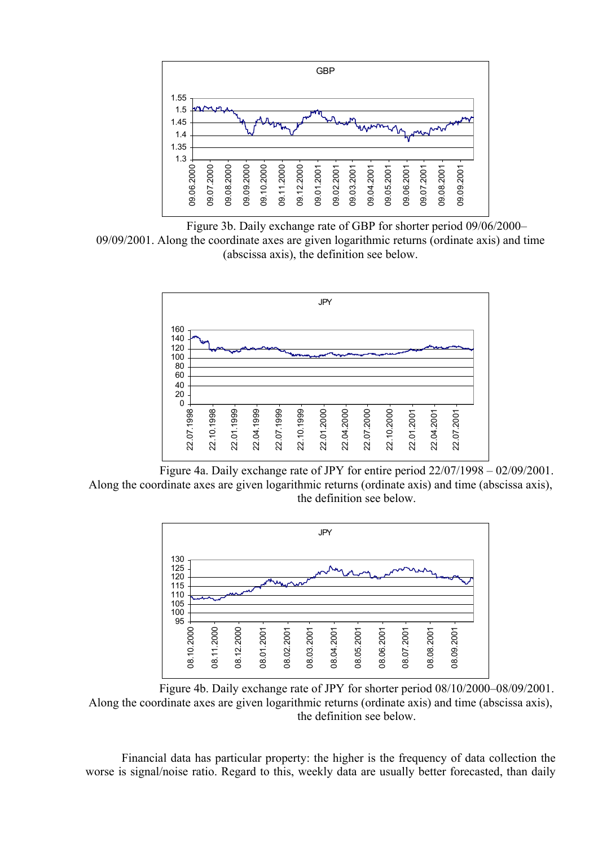

Figure 3b. Daily exchange rate of GBP for shorter period 09/06/2000– 09/09/2001. Along the coordinate axes are given logarithmic returns (ordinate axis) and time (abscissa axis), the definition see below.



 Figure 4a. Daily exchange rate of JPY for entire period 22/07/1998 – 02/09/2001. Along the coordinate axes are given logarithmic returns (ordinate axis) and time (abscissa axis), the definition see below.



Figure 4b. Daily exchange rate of JPY for shorter period 08/10/2000–08/09/2001. Along the coordinate axes are given logarithmic returns (ordinate axis) and time (abscissa axis), the definition see below.

Financial data has particular property: the higher is the frequency of data collection the worse is signal/noise ratio. Regard to this, weekly data are usually better forecasted, than daily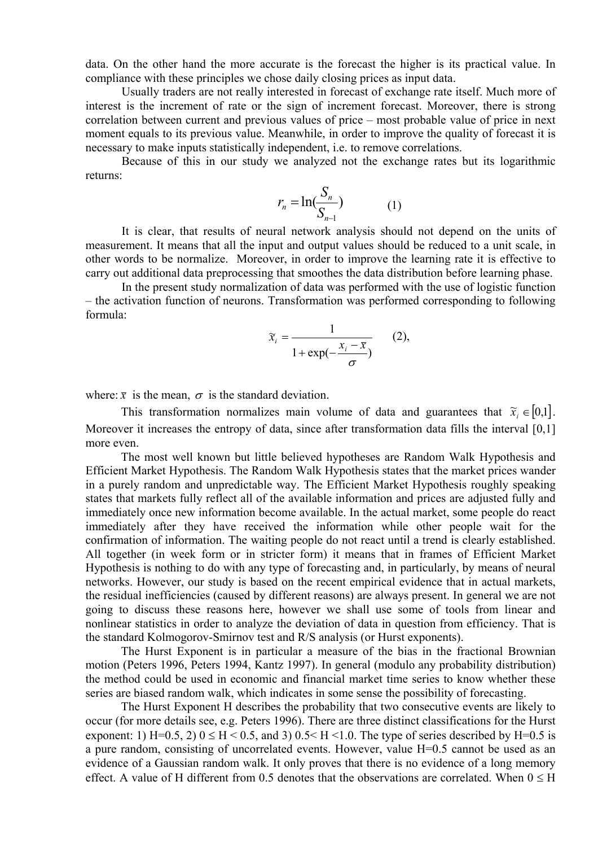data. On the other hand the more accurate is the forecast the higher is its practical value. In compliance with these principles we chose daily closing prices as input data.

Usually traders are not really interested in forecast of exchange rate itself. Much more of interest is the increment of rate or the sign of increment forecast. Moreover, there is strong correlation between current and previous values of price – most probable value of price in next moment equals to its previous value. Meanwhile, in order to improve the quality of forecast it is necessary to make inputs statistically independent, i.e. to remove correlations.

Because of this in our study we analyzed not the exchange rates but its logarithmic returns:

$$
r_n = \ln(\frac{S_n}{S_{n-1}})
$$
 (1)

It is clear, that results of neural network analysis should not depend on the units of measurement. It means that all the input and output values should be reduced to a unit scale, in other words to be normalize. Moreover, in order to improve the learning rate it is effective to carry out additional data preprocessing that smoothes the data distribution before learning phase.

In the present study normalization of data was performed with the use of logistic function – the activation function of neurons. Transformation was performed corresponding to following formula:

$$
\widetilde{x}_i = \frac{1}{1 + \exp(-\frac{x_i - \overline{x}}{\sigma})}
$$
 (2),

where:  $\bar{x}$  is the mean,  $\sigma$  is the standard deviation.

This transformation normalizes main volume of data and guarantees that  $\tilde{x}_i \in [0,1]$ . Moreover it increases the entropy of data, since after transformation data fills the interval [0,1] more even.

The most well known but little believed hypotheses are Random Walk Hypothesis and Efficient Market Hypothesis. The Random Walk Hypothesis states that the market prices wander in a purely random and unpredictable way. The Efficient Market Hypothesis roughly speaking states that markets fully reflect all of the available information and prices are adjusted fully and immediately once new information become available. In the actual market, some people do react immediately after they have received the information while other people wait for the confirmation of information. The waiting people do not react until a trend is clearly established. All together (in week form or in stricter form) it means that in frames of Efficient Market Hypothesis is nothing to do with any type of forecasting and, in particularly, by means of neural networks. However, our study is based on the recent empirical evidence that in actual markets, the residual inefficiencies (caused by different reasons) are always present. In general we are not going to discuss these reasons here, however we shall use some of tools from linear and nonlinear statistics in order to analyze the deviation of data in question from efficiency. That is the standard Kolmogorov-Smirnov test and R/S analysis (or Hurst exponents).

The Hurst Exponent is in particular a measure of the bias in the fractional Brownian motion (Peters 1996, Peters 1994, Kantz 1997). In general (modulo any probability distribution) the method could be used in economic and financial market time series to know whether these series are biased random walk, which indicates in some sense the possibility of forecasting.

The Hurst Exponent H describes the probability that two consecutive events are likely to occur (for more details see, e.g. Peters 1996). There are three distinct classifications for the Hurst exponent: 1) H=0.5, 2)  $0 \leq H \leq 0.5$ , and 3)  $0.5 \leq H \leq 1.0$ . The type of series described by H=0.5 is a pure random, consisting of uncorrelated events. However, value H=0.5 cannot be used as an evidence of a Gaussian random walk. It only proves that there is no evidence of a long memory effect. A value of H different from 0.5 denotes that the observations are correlated. When  $0 \leq H$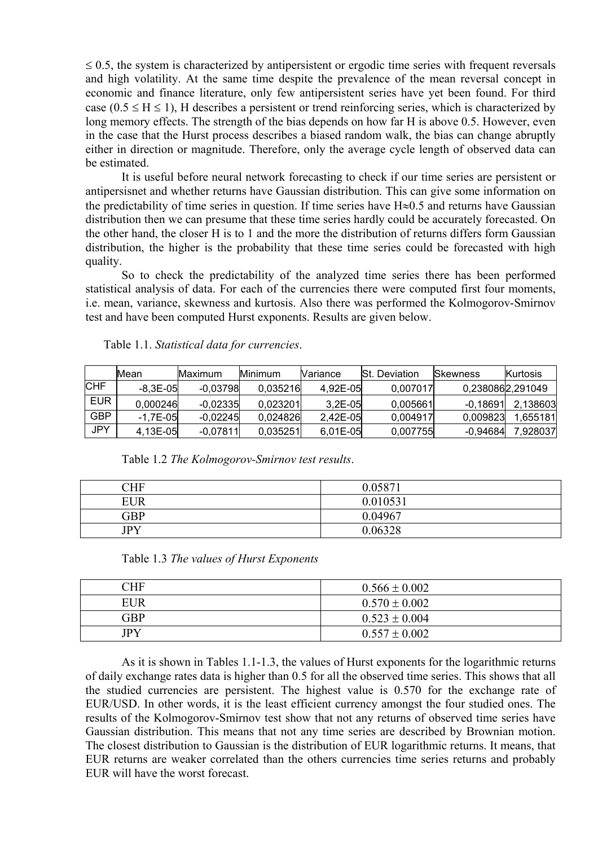$\leq$  0.5, the system is characterized by antipersistent or ergodic time series with frequent reversals and high volatility. At the same time despite the prevalence of the mean reversal concept in economic and finance literature, only few antipersistent series have yet been found. For third case ( $0.5 \leq H \leq 1$ ), H describes a persistent or trend reinforcing series, which is characterized by long memory effects. The strength of the bias depends on how far H is above 0.5. However, even in the case that the Hurst process describes a biased random walk, the bias can change abruptly either in direction or magnitude. Therefore, only the average cycle length of observed data can be estimated.

It is useful before neural network forecasting to check if our time series are persistent or antipersisnet and whether returns have Gaussian distribution. This can give some information on the predictability of time series in question. If time series have H≈0.5 and returns have Gaussian distribution then we can presume that these time series hardly could be accurately forecasted. On the other hand, the closer H is to 1 and the more the distribution of returns differs form Gaussian distribution, the higher is the probability that these time series could be forecasted with high quality.

So to check the predictability of the analyzed time series there has been performed statistical analysis of data. For each of the currencies there were computed first four moments, i.e. mean, variance, skewness and kurtosis. Also there was performed the Kolmogorov-Smirnov test and have been computed Hurst exponents. Results are given below.

|            | Mean         | Maximum    | <b>Minimum</b> | <b>Nariance</b> | <b>St.</b> Deviation | Skewness         | Kurtosis  |
|------------|--------------|------------|----------------|-----------------|----------------------|------------------|-----------|
| <b>CHF</b> | -8.3E-05I    | $-0.03798$ | 0.035216       | 4.92E-05        | 0.007017             | 0,2380862,291049 |           |
| <b>EUR</b> | 0.000246     | $-0.02335$ | 0.023201       | $3.2E - 05$     | 0.005661             | $-0.18691$       | 2.138603  |
| <b>GBP</b> | $-1.7E - 05$ | $-0.02245$ | 0.024826       | 2.42E-05I       | 0.004917             | 0.009823         | 1.655181l |
| <b>JPY</b> | 4.13E-05     | $-0.07811$ | 0.035251       | 6.01E-05        | 0.007755             | $-0.94684$       | 7,928037  |

Table 1.1. *Statistical data for currencies*.

| Table 1.2 The Kolmogorov-Smirnov test results. |  |
|------------------------------------------------|--|
|------------------------------------------------|--|

| CHF        | 0.05871  |
|------------|----------|
| <b>EUR</b> | 0.010531 |
| GBP        | 0.04967  |
| <b>JPY</b> | 0.06328  |

| <b>CHF</b> | $0.566 \pm 0.002$ |
|------------|-------------------|
| <b>EUR</b> | $0.570 \pm 0.002$ |
| GBP        | $0.523 \pm 0.004$ |
| <b>JPY</b> | $0.557 \pm 0.002$ |

As it is shown in Tables 1.1-1.3, the values of Hurst exponents for the logarithmic returns of daily exchange rates data is higher than 0.5 for all the observed time series. This shows that all the studied currencies are persistent. The highest value is 0.570 for the exchange rate of EUR/USD. In other words, it is the least efficient currency amongst the four studied ones. The results of the Kolmogorov-Smirnov test show that not any returns of observed time series have Gaussian distribution. This means that not any time series are described by Brownian motion. The closest distribution to Gaussian is the distribution of EUR logarithmic returns. It means, that EUR returns are weaker correlated than the others currencies time series returns and probably EUR will have the worst forecast.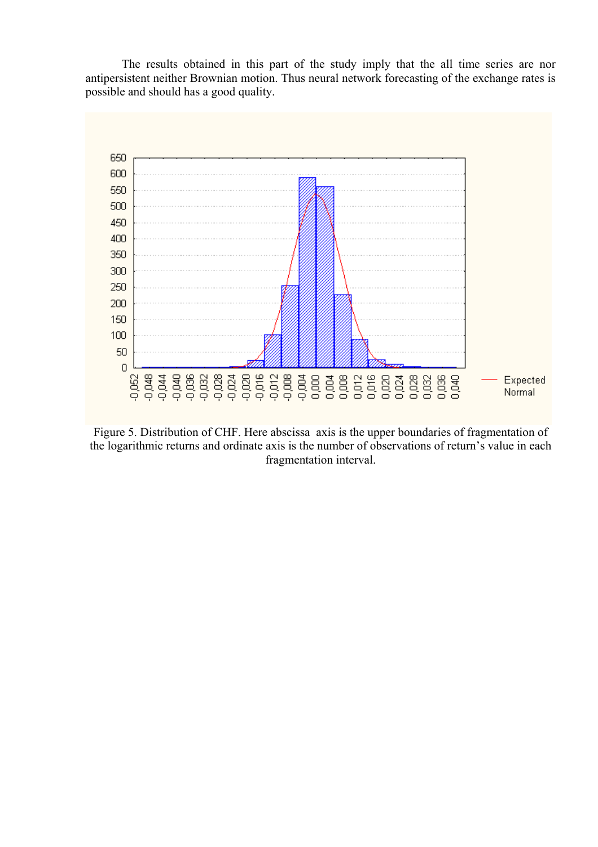The results obtained in this part of the study imply that the all time series are nor antipersistent neither Brownian motion. Thus neural network forecasting of the exchange rates is possible and should has a good quality.



Figure 5. Distribution of CHF. Here abscissa axis is the upper boundaries of fragmentation of the logarithmic returns and ordinate axis is the number of observations of return's value in each fragmentation interval.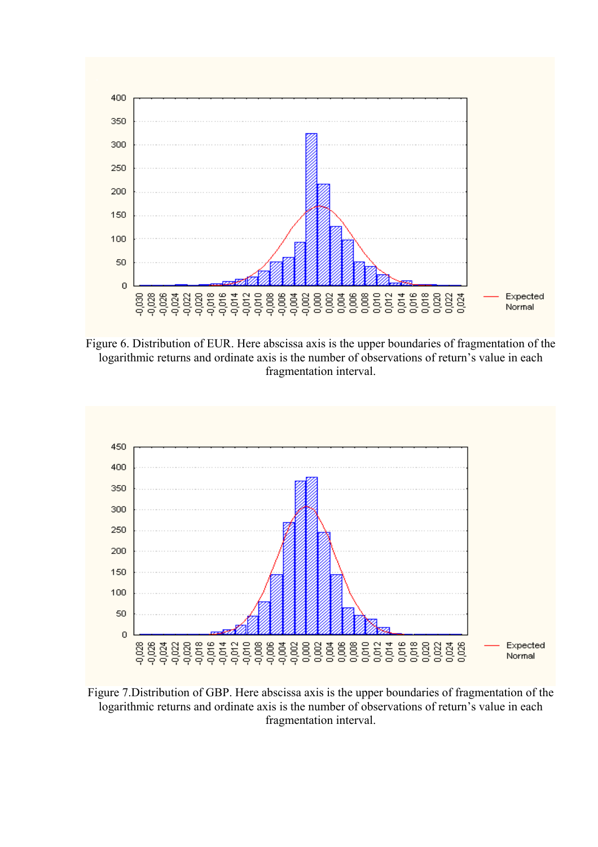

Figure 6. Distribution of EUR. Here abscissa axis is the upper boundaries of fragmentation of the logarithmic returns and ordinate axis is the number of observations of return's value in each fragmentation interval.



Figure 7.Distribution of GBP. Here abscissa axis is the upper boundaries of fragmentation of the logarithmic returns and ordinate axis is the number of observations of return's value in each fragmentation interval.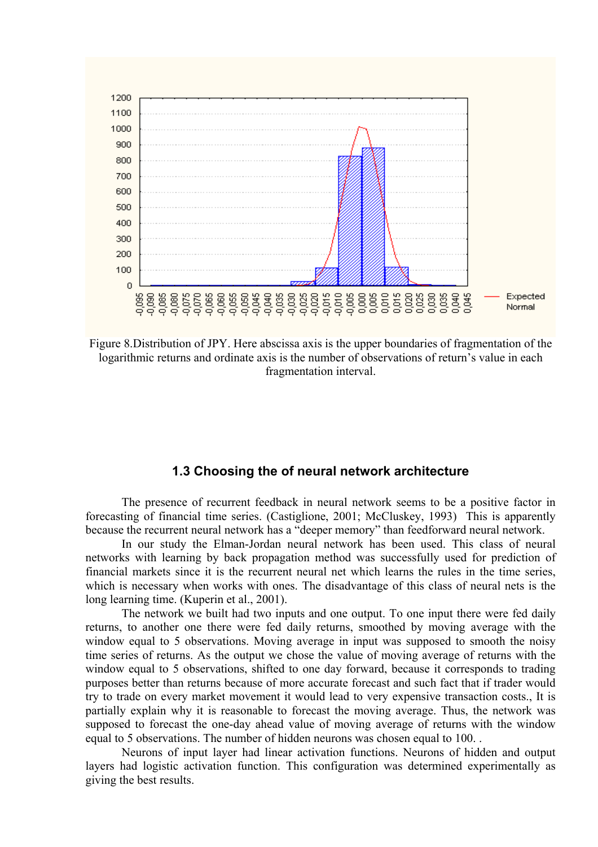

Figure 8.Distribution of JPY. Here abscissa axis is the upper boundaries of fragmentation of the logarithmic returns and ordinate axis is the number of observations of return's value in each fragmentation interval.

#### **1.3 Choosing the of neural network architecture**

The presence of recurrent feedback in neural network seems to be a positive factor in forecasting of financial time series. (Castiglione, 2001; McCluskey, 1993) This is apparently because the recurrent neural network has a "deeper memory" than feedforward neural network.

In our study the Elman-Jordan neural network has been used. This class of neural networks with learning by back propagation method was successfully used for prediction of financial markets since it is the recurrent neural net which learns the rules in the time series, which is necessary when works with ones. The disadvantage of this class of neural nets is the long learning time. (Kuperin et al., 2001).

The network we built had two inputs and one output. To one input there were fed daily returns, to another one there were fed daily returns, smoothed by moving average with the window equal to 5 observations. Moving average in input was supposed to smooth the noisy time series of returns. As the output we chose the value of moving average of returns with the window equal to 5 observations, shifted to one day forward, because it corresponds to trading purposes better than returns because of more accurate forecast and such fact that if trader would try to trade on every market movement it would lead to very expensive transaction costs., It is partially explain why it is reasonable to forecast the moving average. Thus, the network was supposed to forecast the one-day ahead value of moving average of returns with the window equal to 5 observations. The number of hidden neurons was chosen equal to 100. .

Neurons of input layer had linear activation functions. Neurons of hidden and output layers had logistic activation function. This configuration was determined experimentally as giving the best results.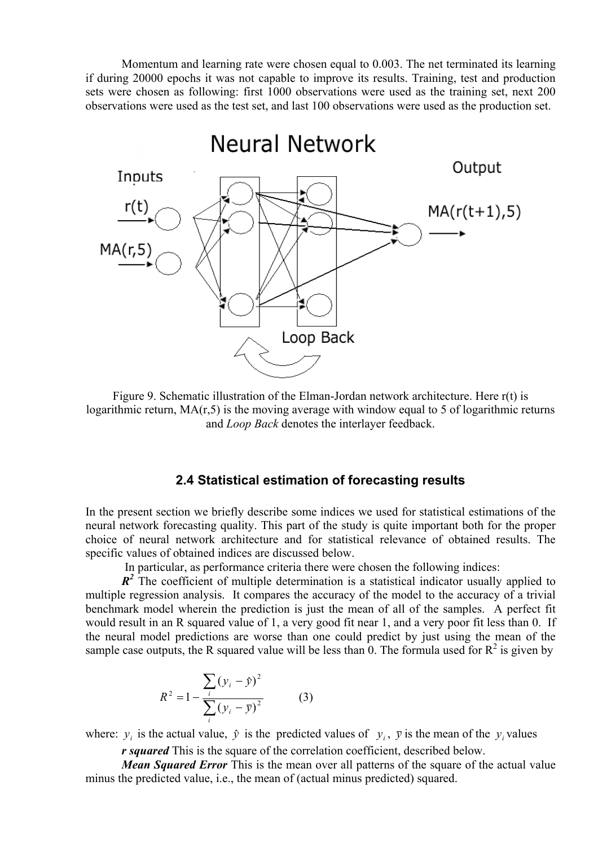Momentum and learning rate were chosen equal to 0.003. The net terminated its learning if during 20000 epochs it was not capable to improve its results. Training, test and production sets were chosen as following: first 1000 observations were used as the training set, next 200 observations were used as the test set, and last 100 observations were used as the production set.



Figure 9. Schematic illustration of the Elman-Jordan network architecture. Here r(t) is logarithmic return,  $MA(r, 5)$  is the moving average with window equal to 5 of logarithmic returns and *Loop Back* denotes the interlayer feedback.

#### **2.4 Statistical estimation of forecasting results**

In the present section we briefly describe some indices we used for statistical estimations of the neural network forecasting quality. This part of the study is quite important both for the proper choice of neural network architecture and for statistical relevance of obtained results. The specific values of obtained indices are discussed below.

In particular, as performance criteria there were chosen the following indices:

 $R^2$  The coefficient of multiple determination is a statistical indicator usually applied to multiple regression analysis. It compares the accuracy of the model to the accuracy of a trivial benchmark model wherein the prediction is just the mean of all of the samples. A perfect fit would result in an R squared value of 1, a very good fit near 1, and a very poor fit less than 0. If the neural model predictions are worse than one could predict by just using the mean of the sample case outputs, the R squared value will be less than 0. The formula used for  $\mathbb{R}^2$  is given by

$$
R^{2} = 1 - \frac{\sum_{i} (y_{i} - \hat{y})^{2}}{\sum_{i} (y_{i} - \bar{y})^{2}}
$$
 (3)

where:  $y_i$  is the actual value,  $\hat{y}$  is the predicted values of  $y_i$ ,  $\bar{y}$  is the mean of the  $y_i$  values

*r squared* This is the square of the correlation coefficient, described below.

*Mean Squared Error* This is the mean over all patterns of the square of the actual value minus the predicted value, i.e., the mean of (actual minus predicted) squared.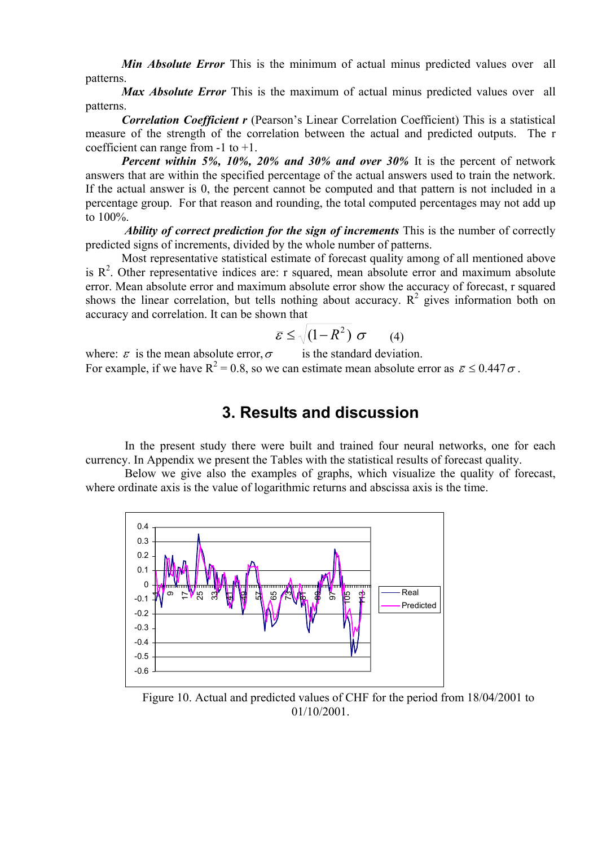*Min Absolute Error* This is the minimum of actual minus predicted values over all patterns.

*Max Absolute Error* This is the maximum of actual minus predicted values over all patterns.

*Correlation Coefficient r* (Pearson's Linear Correlation Coefficient) This is a statistical measure of the strength of the correlation between the actual and predicted outputs. The r coefficient can range from -1 to +1.

*Percent within 5%, 10%, 20% and 30% and over 30%* It is the percent of network answers that are within the specified percentage of the actual answers used to train the network. If the actual answer is 0, the percent cannot be computed and that pattern is not included in a percentage group. For that reason and rounding, the total computed percentages may not add up to 100%.

*Ability of correct prediction for the sign of increments* This is the number of correctly predicted signs of increments, divided by the whole number of patterns.

Most representative statistical estimate of forecast quality among of all mentioned above is  $R^2$ . Other representative indices are: r squared, mean absolute error and maximum absolute error. Mean absolute error and maximum absolute error show the accuracy of forecast, r squared shows the linear correlation, but tells nothing about accuracy.  $R^2$  gives information both on accuracy and correlation. It can be shown that

$$
\bar{\varepsilon} \leq \sqrt{(1 - R^2)} \sigma \qquad (4)
$$

where:  $\bar{\varepsilon}$  is the mean absolute error,  $\sigma$  is the standard deviation. For example, if we have  $R^2 = 0.8$ , so we can estimate mean absolute error as  $\bar{\varepsilon} \le 0.447 \sigma$ .

# **3. Results and discussion**

 In the present study there were built and trained four neural networks, one for each currency. In Appendix we present the Tables with the statistical results of forecast quality.

 Below we give also the examples of graphs, which visualize the quality of forecast, where ordinate axis is the value of logarithmic returns and abscissa axis is the time.



Figure 10. Actual and predicted values of CHF for the period from 18/04/2001 to 01/10/2001.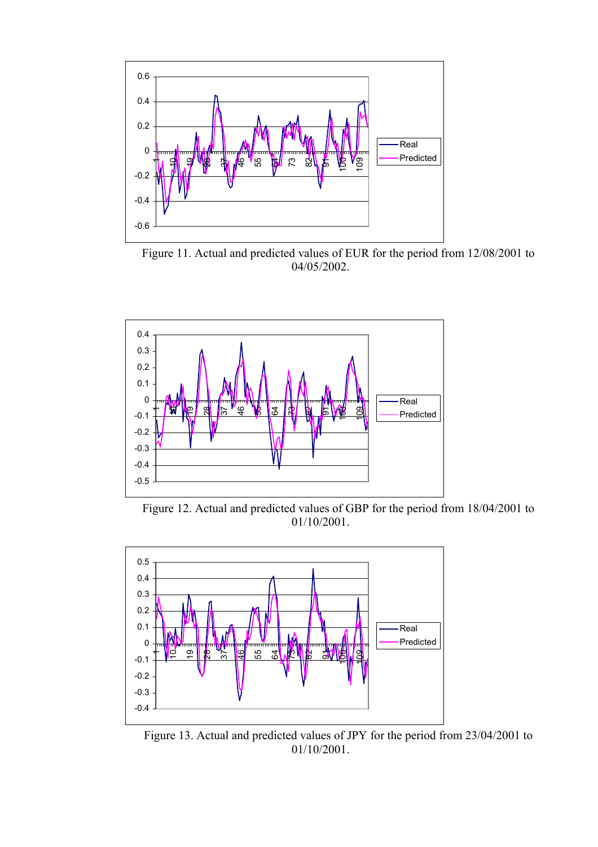

Figure 11. Actual and predicted values of EUR for the period from 12/08/2001 to 04/05/2002.



Figure 12. Actual and predicted values of GBP for the period from 18/04/2001 to 01/10/2001.



Figure 13. Actual and predicted values of JPY for the period from 23/04/2001 to 01/10/2001.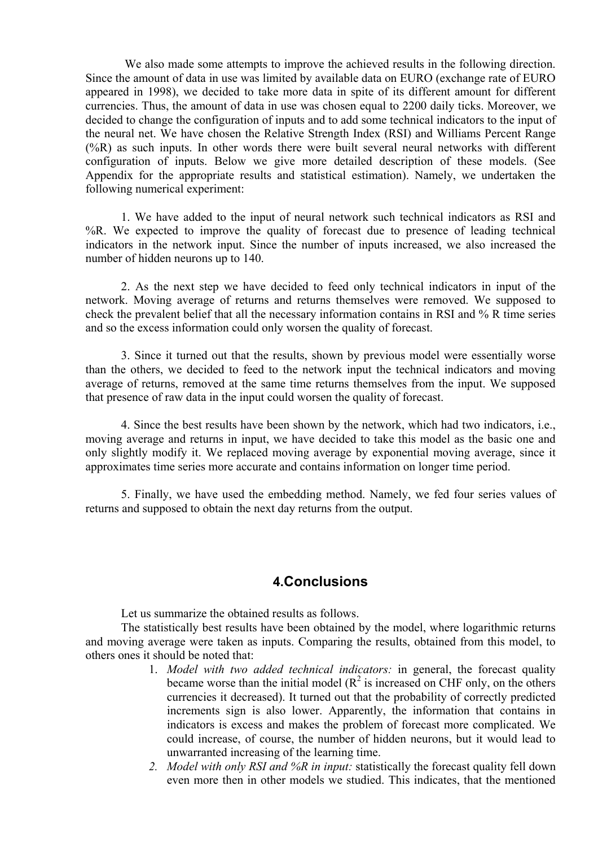We also made some attempts to improve the achieved results in the following direction. Since the amount of data in use was limited by available data on EURO (exchange rate of EURO appeared in 1998), we decided to take more data in spite of its different amount for different currencies. Thus, the amount of data in use was chosen equal to 2200 daily ticks. Moreover, we decided to change the configuration of inputs and to add some technical indicators to the input of the neural net. We have chosen the Relative Strength Index (RSI) and Williams Percent Range  $(\%R)$  as such inputs. In other words there were built several neural networks with different configuration of inputs. Below we give more detailed description of these models. (See Appendix for the appropriate results and statistical estimation). Namely, we undertaken the following numerical experiment:

1. We have added to the input of neural network such technical indicators as RSI and %R. We expected to improve the quality of forecast due to presence of leading technical indicators in the network input. Since the number of inputs increased, we also increased the number of hidden neurons up to 140.

2. As the next step we have decided to feed only technical indicators in input of the network. Moving average of returns and returns themselves were removed. We supposed to check the prevalent belief that all the necessary information contains in RSI and % R time series and so the excess information could only worsen the quality of forecast.

3. Since it turned out that the results, shown by previous model were essentially worse than the others, we decided to feed to the network input the technical indicators and moving average of returns, removed at the same time returns themselves from the input. We supposed that presence of raw data in the input could worsen the quality of forecast.

4. Since the best results have been shown by the network, which had two indicators, i.e., moving average and returns in input, we have decided to take this model as the basic one and only slightly modify it. We replaced moving average by exponential moving average, since it approximates time series more accurate and contains information on longer time period.

5. Finally, we have used the embedding method. Namely, we fed four series values of returns and supposed to obtain the next day returns from the output.

### **4.Conclusions**

Let us summarize the obtained results as follows.

The statistically best results have been obtained by the model, where logarithmic returns and moving average were taken as inputs. Comparing the results, obtained from this model, to others ones it should be noted that:

- 1. *Model with two added technical indicators:* in general, the forecast quality became worse than the initial model  $(R^2)$  is increased on CHF only, on the others currencies it decreased). It turned out that the probability of correctly predicted increments sign is also lower. Apparently, the information that contains in indicators is excess and makes the problem of forecast more complicated. We could increase, of course, the number of hidden neurons, but it would lead to unwarranted increasing of the learning time.
- *2. Model with only RSI and %R in input:* statistically the forecast quality fell down even more then in other models we studied. This indicates, that the mentioned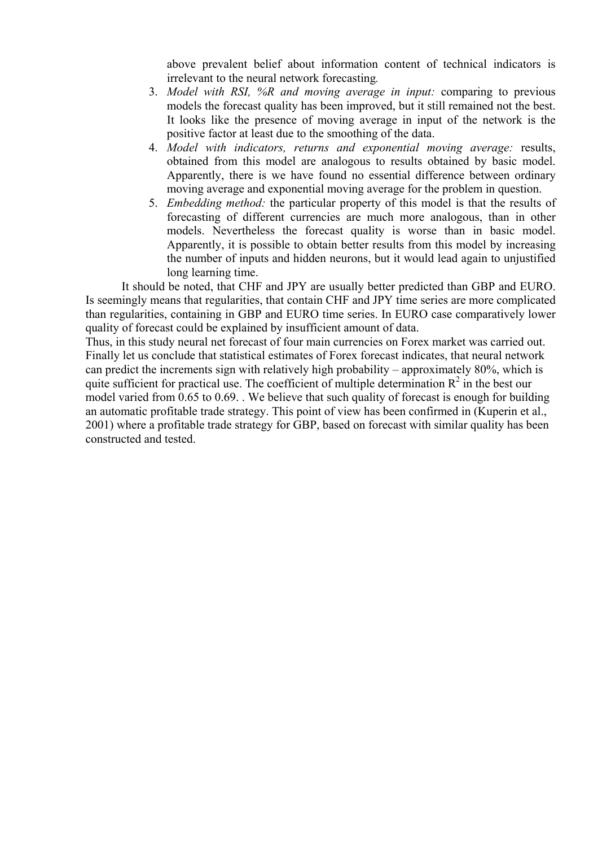above prevalent belief about information content of technical indicators is irrelevant to the neural network forecasting*.* 

- 3. *Model with RSI, %R and moving average in input:* comparing to previous models the forecast quality has been improved, but it still remained not the best. It looks like the presence of moving average in input of the network is the positive factor at least due to the smoothing of the data.
- 4. *Model with indicators, returns and exponential moving average:* results, obtained from this model are analogous to results obtained by basic model. Apparently, there is we have found no essential difference between ordinary moving average and exponential moving average for the problem in question.
- 5. *Embedding method:* the particular property of this model is that the results of forecasting of different currencies are much more analogous, than in other models. Nevertheless the forecast quality is worse than in basic model. Apparently, it is possible to obtain better results from this model by increasing the number of inputs and hidden neurons, but it would lead again to unjustified long learning time.

It should be noted, that CHF and JPY are usually better predicted than GBP and EURO. Is seemingly means that regularities, that contain CHF and JPY time series are more complicated than regularities, containing in GBP and EURO time series. In EURO case comparatively lower quality of forecast could be explained by insufficient amount of data.

Thus, in this study neural net forecast of four main currencies on Forex market was carried out. Finally let us conclude that statistical estimates of Forex forecast indicates, that neural network can predict the increments sign with relatively high probability – approximately 80%, which is quite sufficient for practical use. The coefficient of multiple determination  $R^2$  in the best our model varied from 0.65 to 0.69. . We believe that such quality of forecast is enough for building an automatic profitable trade strategy. This point of view has been confirmed in (Kuperin et al., 2001) where a profitable trade strategy for GBP, based on forecast with similar quality has been constructed and tested.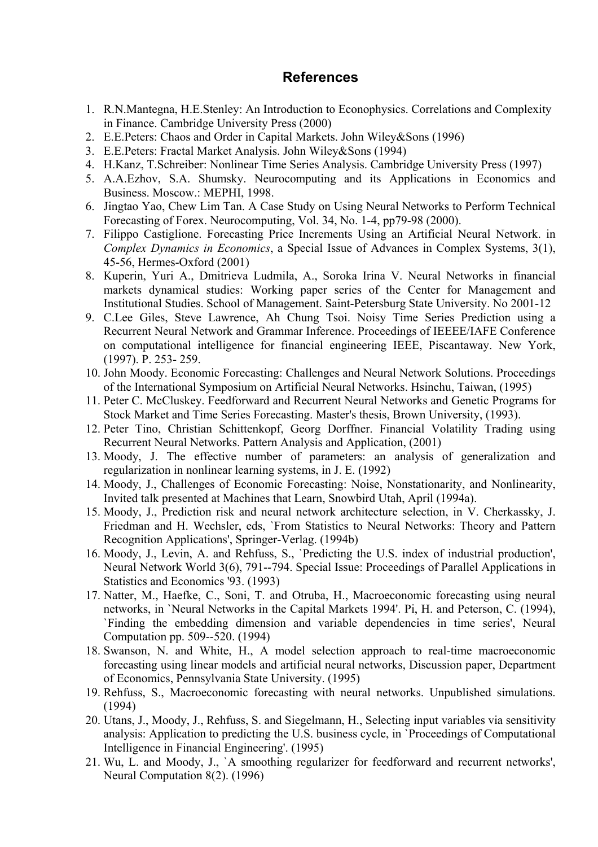## **References**

- 1. R.N.Mantegna, H.E.Stenley: An Introduction to Econophysics. Correlations and Complexity in Finance. Cambridge University Press (2000)
- 2. E.E.Peters: Chaos and Order in Capital Markets. John Wiley&Sons (1996)
- 3. E.E.Peters: Fractal Market Analysis. John Wiley&Sons (1994)
- 4. H.Kanz, T.Schreiber: Nonlinear Time Series Analysis. Cambridge University Press (1997)
- 5. A.A.Ezhov, S.A. Shumsky. Neurocomputing and its Applications in Economics and Business. Moscow.: MEPHI, 1998.
- 6. Jingtao Yao, Chew Lim Tan. A Case Study on Using Neural Networks to Perform Technical Forecasting of Forex. Neurocomputing, Vol. 34, No. 1-4, pp79-98 (2000).
- 7. Filippo Castiglione. Forecasting Price Increments Using an Artificial Neural Network. in *Complex Dynamics in Economics*, a Special Issue of Advances in Complex Systems, 3(1), 45-56, Hermes-Oxford (2001)
- 8. Kuperin, Yuri A., Dmitrieva Ludmila, A., Soroka Irina V. Neural Networks in financial markets dynamical studies: Working paper series of the Center for Management and Institutional Studies. School of Management. Saint-Petersburg State University. No 2001-12
- 9. C.Lee Giles, Steve Lawrence, Ah Chung Tsoi. Noisy Time Series Prediction using a Recurrent Neural Network and Grammar Inference. Proceedings of IEEEE/IAFE Conference on computational intelligence for financial engineering IEEE, Piscantaway. New York, (1997). P. 253- 259.
- 10. John Moody. Economic Forecasting: Challenges and Neural Network Solutions. Proceedings of the International Symposium on Artificial Neural Networks. Hsinchu, Taiwan, (1995)
- 11. Peter C. McCluskey. Feedforward and Recurrent Neural Networks and Genetic Programs for Stock Market and Time Series Forecasting. Master's thesis, Brown University, (1993).
- 12. Peter Tino, Christian Schittenkopf, Georg Dorffner. Financial Volatility Trading using Recurrent Neural Networks. Pattern Analysis and Application, (2001)
- 13. Moody, J. The effective number of parameters: an analysis of generalization and regularization in nonlinear learning systems, in J. E. (1992)
- 14. Moody, J., Challenges of Economic Forecasting: Noise, Nonstationarity, and Nonlinearity, Invited talk presented at Machines that Learn, Snowbird Utah, April (1994a).
- 15. Moody, J., Prediction risk and neural network architecture selection, in V. Cherkassky, J. Friedman and H. Wechsler, eds, `From Statistics to Neural Networks: Theory and Pattern Recognition Applications', Springer-Verlag. (1994b)
- 16. Moody, J., Levin, A. and Rehfuss, S., `Predicting the U.S. index of industrial production', Neural Network World 3(6), 791--794. Special Issue: Proceedings of Parallel Applications in Statistics and Economics '93. (1993)
- 17. Natter, M., Haefke, C., Soni, T. and Otruba, H., Macroeconomic forecasting using neural networks, in `Neural Networks in the Capital Markets 1994'. Pi, H. and Peterson, C. (1994), `Finding the embedding dimension and variable dependencies in time series', Neural Computation pp. 509--520. (1994)
- 18. Swanson, N. and White, H., A model selection approach to real-time macroeconomic forecasting using linear models and artificial neural networks, Discussion paper, Department of Economics, Pennsylvania State University. (1995)
- 19. Rehfuss, S., Macroeconomic forecasting with neural networks. Unpublished simulations. (1994)
- 20. Utans, J., Moody, J., Rehfuss, S. and Siegelmann, H., Selecting input variables via sensitivity analysis: Application to predicting the U.S. business cycle, in `Proceedings of Computational Intelligence in Financial Engineering'. (1995)
- 21. Wu, L. and Moody, J., `A smoothing regularizer for feedforward and recurrent networks', Neural Computation 8(2). (1996)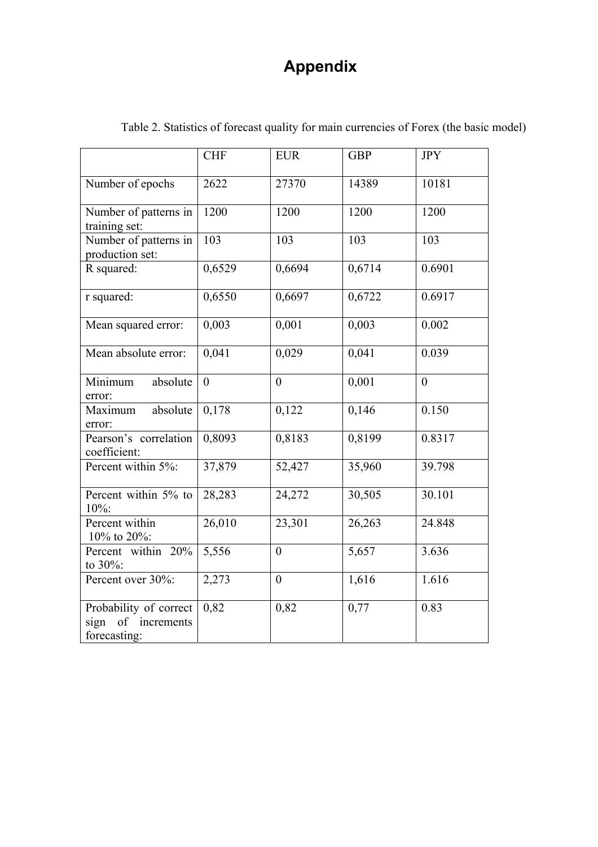# **Appendix**

|                                                                    | <b>CHF</b> | <b>EUR</b>       | <b>GBP</b> | <b>JPY</b> |
|--------------------------------------------------------------------|------------|------------------|------------|------------|
| Number of epochs                                                   | 2622       | 27370            | 14389      | 10181      |
| Number of patterns in<br>training set:                             | 1200       | 1200             | 1200       | 1200       |
| Number of patterns in<br>production set:                           | 103        | 103              | 103        | 103        |
| R squared:                                                         | 0,6529     | 0,6694           | 0,6714     | 0.6901     |
| r squared:                                                         | 0,6550     | 0,6697           | 0,6722     | 0.6917     |
| Mean squared error:                                                | 0,003      | 0,001            | 0,003      | 0.002      |
| Mean absolute error:                                               | 0,041      | 0,029            | 0,041      | 0.039      |
| Minimum<br>absolute<br>error:                                      | $\theta$   | $\overline{0}$   | 0,001      | $\theta$   |
| absolute<br>Maximum<br>error:                                      | 0,178      | 0,122            | 0,146      | 0.150      |
| Pearson's correlation<br>coefficient:                              | 0,8093     | 0,8183           | 0,8199     | 0.8317     |
| Percent within 5%:                                                 | 37,879     | 52,427           | 35,960     | 39.798     |
| Percent within 5% to<br>10%:                                       | 28,283     | 24,272           | 30,505     | 30.101     |
| Percent within<br>10% to 20%:                                      | 26,010     | 23,301           | 26,263     | 24.848     |
| Percent within 20%<br>to 30%:                                      | 5,556      | $\overline{0}$   | 5,657      | 3.636      |
| Percent over 30%:                                                  | 2,273      | $\boldsymbol{0}$ | 1,616      | 1.616      |
| Probability of correct<br>of<br>increments<br>sign<br>forecasting: | 0,82       | 0,82             | 0,77       | 0.83       |

Table 2. Statistics of forecast quality for main currencies of Forex (the basic model)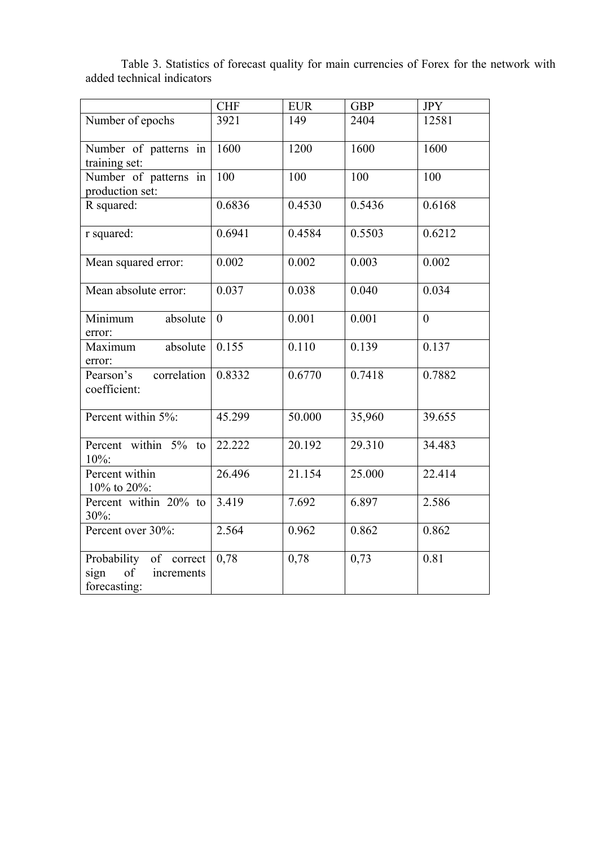| CHF | EUR | GBP | JPY Number of epochs 3921 149 2404 12581 Number of patterns in training set: 1600 1200 1600 1600 Number of patterns in production set: 100 100 100 R squared: 0.6836 0.4530 0.5436 0.6168 r squared: 0.6941 0.4584 0.5503 0.6212 Mean squared error: 0.002 0.003 0.002 Mean absolute error:  $(0.037 \t 0.038 \t 0.040 \t 0.034$ Minimum absolute error: 0 0.001 0.001 0 Maximum absolute error: 0.155 | 0.110 | 0.139 | 0.137 Pearson's correlation coefficient: 0.8332 0.6770 0.7418 0.7882 Percent within 5%: 45.299 50.000 35,960 39.655 Percent within 5% to 10%: 22.222 20.192 29.310 34.483 Percent within 10% to 20%: 26.496 21.154 25.000 22.414 Percent within 20% to 30%: 3.419 7.692 6.897 2.586 Percent over 30%: 2.564 0.962 0.862 0.862

0,78 0,78 0,73 0.81

Probability of correct<br>sign of increments of increments

forecasting:

Table 3. Statistics of forecast quality for main currencies of Forex for the network with added technical indicators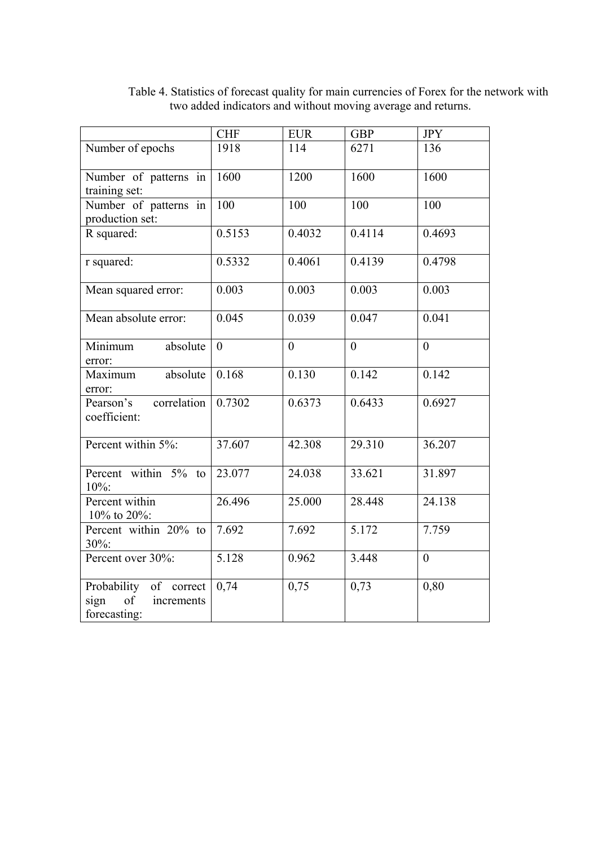|                                                                    | <b>CHF</b>          | <b>EUR</b>     | <b>GBP</b>     | <b>JPY</b>     |
|--------------------------------------------------------------------|---------------------|----------------|----------------|----------------|
| Number of epochs                                                   | 1918                | 114            | 6271           | 136            |
| Number of patterns in<br>training set:                             | 1600                | 1200           | 1600           | 1600           |
| Number of patterns in<br>production set:                           | $\overline{100}$    | 100            | 100            | 100            |
| R squared:                                                         | 0.5153              | 0.4032         | 0.4114         | 0.4693         |
| r squared:                                                         | 0.5332              | 0.4061         | 0.4139         | 0.4798         |
| Mean squared error:                                                | 0.003               | 0.003          | 0.003          | 0.003          |
| Mean absolute error:                                               | 0.045               | 0.039          | 0.047          | 0.041          |
| Minimum<br>absolute<br>error:                                      | $\overline{0}$      | $\overline{0}$ | $\overline{0}$ | $\overline{0}$ |
| absolute<br>Maximum<br>error:                                      | 0.168               | 0.130          | 0.142          | 0.142          |
| Pearson's<br>correlation<br>coefficient:                           | 0.7302              | 0.6373         | 0.6433         | 0.6927         |
| Percent within 5%:                                                 | $\overline{37.607}$ | 42.308         | 29.310         | 36.207         |
| Percent within 5% to<br>10%:                                       | 23.077              | 24.038         | 33.621         | 31.897         |
| Percent within<br>10% to 20%:                                      | 26.496              | 25.000         | 28.448         | 24.138         |
| Percent within $20\%$ to<br>30%:                                   | 7.692               | 7.692          | 5.172          | 7.759          |
| Percent over 30%:                                                  | 5.128               | 0.962          | 3.448          | $\overline{0}$ |
| Probability of correct<br>of<br>sign<br>increments<br>forecasting: | 0,74                | 0,75           | 0,73           | 0,80           |

Table 4. Statistics of forecast quality for main currencies of Forex for the network with two added indicators and without moving average and returns.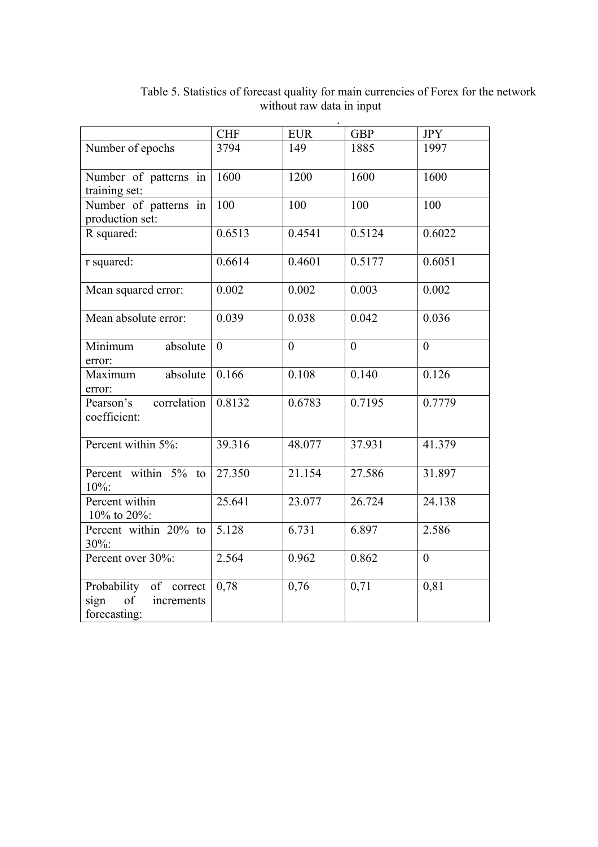|                                                                    | <b>CHF</b>     | <b>EUR</b>     | <b>GBP</b>     | <b>JPY</b>     |
|--------------------------------------------------------------------|----------------|----------------|----------------|----------------|
| Number of epochs                                                   | 3794           | 149            | 1885           | 1997           |
| Number of patterns in<br>training set:                             | 1600           | 1200           | 1600           | 1600           |
| Number of patterns in<br>production set:                           | 100            | 100            | 100            | 100            |
| R squared:                                                         | 0.6513         | 0.4541         | 0.5124         | 0.6022         |
| r squared:                                                         | 0.6614         | 0.4601         | 0.5177         | 0.6051         |
| Mean squared error:                                                | 0.002          | 0.002          | 0.003          | 0.002          |
| Mean absolute error:                                               | 0.039          | 0.038          | 0.042          | 0.036          |
| Minimum<br>absolute<br>error:                                      | $\overline{0}$ | $\overline{0}$ | $\overline{0}$ | $\theta$       |
| absolute<br>Maximum<br>error:                                      | 0.166          | 0.108          | 0.140          | 0.126          |
| Pearson's<br>correlation<br>coefficient:                           | 0.8132         | 0.6783         | 0.7195         | 0.7779         |
| Percent within 5%:                                                 | 39.316         | 48.077         | 37.931         | 41.379         |
| Percent within 5% to<br>10%:                                       | 27.350         | 21.154         | 27.586         | 31.897         |
| Percent within<br>10% to 20%:                                      | 25.641         | 23.077         | 26.724         | 24.138         |
| Percent within 20% to<br>$30\%$ :                                  | 5.128          | 6.731          | 6.897          | 2.586          |
| Percent over 30%:                                                  | 2.564          | 0.962          | 0.862          | $\overline{0}$ |
| Probability of correct<br>of<br>sign<br>increments<br>forecasting: | 0,78           | 0,76           | 0,71           | 0,81           |

Table 5. Statistics of forecast quality for main currencies of Forex for the network without raw data in input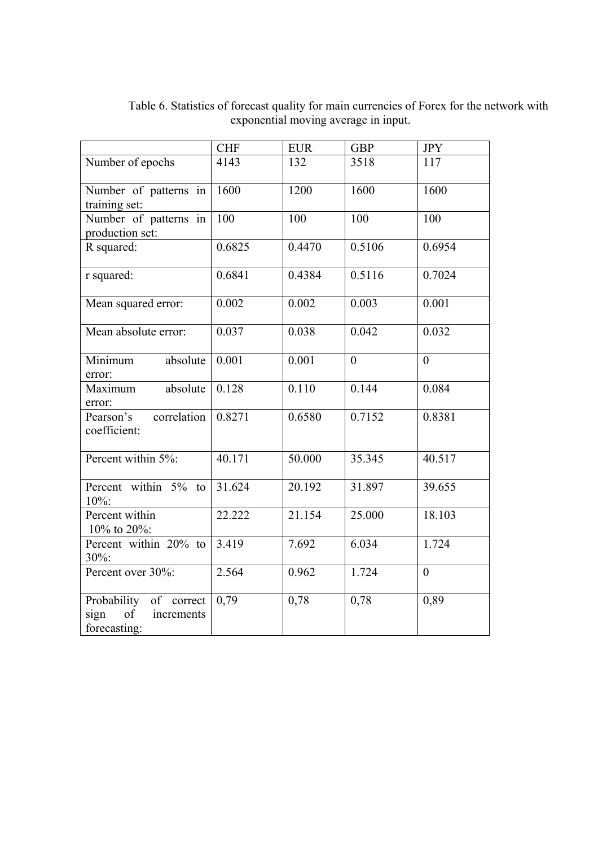|                                                                    | <b>CHF</b> | <b>EUR</b> | <b>GBP</b>     | <b>JPY</b>     |
|--------------------------------------------------------------------|------------|------------|----------------|----------------|
| Number of epochs                                                   | 4143       | 132        | 3518           | 117            |
| Number of patterns in<br>training set:                             | 1600       | 1200       | 1600           | 1600           |
| Number of patterns in<br>production set:                           | 100        | 100        | 100            | 100            |
| R squared:                                                         | 0.6825     | 0.4470     | 0.5106         | 0.6954         |
| r squared:                                                         | 0.6841     | 0.4384     | 0.5116         | 0.7024         |
| Mean squared error:                                                | 0.002      | 0.002      | 0.003          | 0.001          |
| Mean absolute error:                                               | 0.037      | 0.038      | 0.042          | 0.032          |
| Minimum<br>absolute<br>error:                                      | 0.001      | 0.001      | $\overline{0}$ | $\theta$       |
| absolute<br>Maximum<br>error:                                      | 0.128      | 0.110      | 0.144          | 0.084          |
| Pearson's<br>correlation<br>coefficient:                           | 0.8271     | 0.6580     | 0.7152         | 0.8381         |
| Percent within 5%:                                                 | 40.171     | 50.000     | 35.345         | 40.517         |
| Percent within 5% to<br>10%:                                       | 31.624     | 20.192     | 31.897         | 39.655         |
| Percent within<br>10% to 20%:                                      | 22.222     | 21.154     | 25.000         | 18.103         |
| Percent within 20% to<br>30%:                                      | 3.419      | 7.692      | 6.034          | 1.724          |
| Percent over 30%:                                                  | 2.564      | 0.962      | 1.724          | $\overline{0}$ |
| Probability of correct<br>of<br>sign<br>increments<br>forecasting: | 0,79       | 0,78       | 0,78           | 0,89           |

Table 6. Statistics of forecast quality for main currencies of Forex for the network with exponential moving average in input.